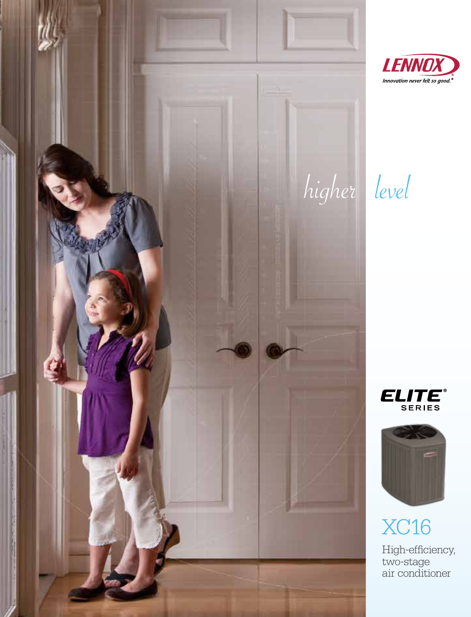







## XC16

High-efficiency, two-stage air conditioner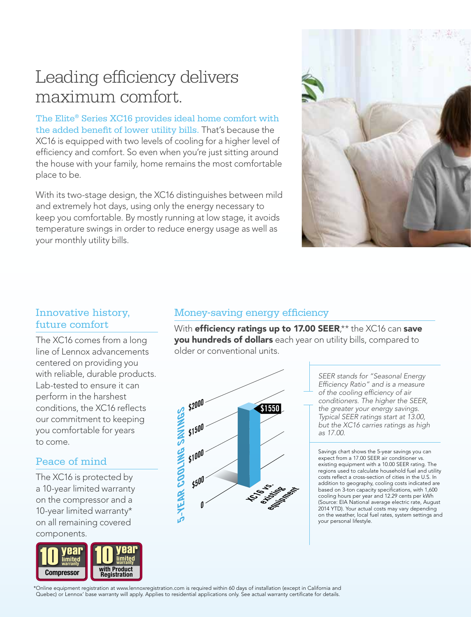### Leading efficiency delivers maximum comfort.

The Elite® Series XC16 provides ideal home comfort with the added benefit of lower utility bills. That's because the XC16 is equipped with two levels of cooling for a higher level of efficiency and comfort. So even when you're just sitting around the house with your family, home remains the most comfortable place to be.

With its two-stage design, the XC16 distinguishes between mild and extremely hot days, using only the energy necessary to keep you comfortable. By mostly running at low stage, it avoids temperature swings in order to reduce energy usage as well as your monthly utility bills.



#### Innovative history, future comfort

The XC16 comes from a long line of Lennox advancements and or Lennox advancemer<br>centered on providing you<br>with reliable, durable produ with reliable, durable products. Lab-tested to ensure it can perform in the harshest conditions, the XC16 reflects<br>our commitment to keeping our commitment to keeping you comfortable for years to come.

limited warranty

# Peace of mind

The XC16 is protected by a 10-year limited warranty on the compressor and a<br>10-year limited warranty\* 10-year limited warranty\* limited warranty 20 limited warranty on all remaining covered components.



#### Money-saving energy efficiency

With efficiency ratings up to 17.00 SEER,\*\* the XC16 can save you hundreds of dollars each year on utility bills, compared to older or conventional units.



*SEER stands for "Seasonal Energy Efficiency Ratio" and is a measure of the cooling efficiency of air conditioners. The higher the SEER, the greater your energy savings. Typical SEER ratings start at 13.00, but the XC16 carries ratings as high as 17.00.* 

Savings chart shows the 5-year savings you can expect from a 17.00 SEER air conditioner vs. existing equipment with a 10.00 SEER rating. The regions used to calculate household fuel and utility costs reflect a cross-section of cities in the U.S. In addition to geography, cooling costs indicated are based on 3-ton capacity specifications, with 1,600 cooling hours per year and 12.29 cents per kWh (Source: EIA National average electric rate, August 2014 YTD). Your actual costs may vary depending on the weather, local fuel rates, system settings and your personal lifestyle.

Online equipment registration at www.lennoxregistration.com is required within 60 days of installation (except in California anc<br>Quebec) or Lennox' base warranty will apply. Applies to residential applications only. See ac \*Online equipment registration at www.lennoxregistration.com is required within 60 days of installation (except in California and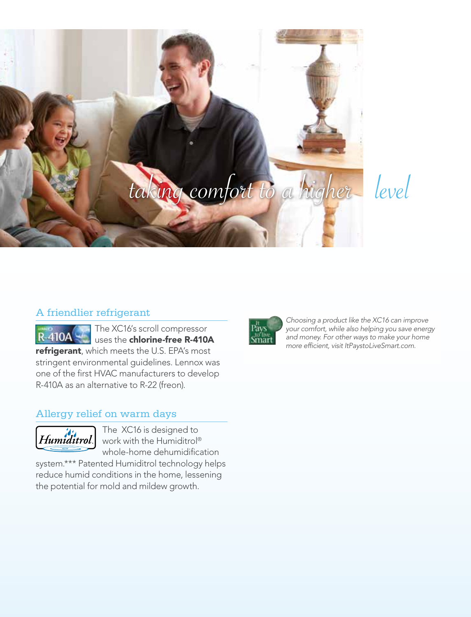



#### A friendlier refrigerant

The XC16's scroll compressor **R-410A** uses the chlorine-free R-410A refrigerant, which meets the U.S. EPA's most stringent environmental guidelines. Lennox was one of the first HVAC manufacturers to develop R-410A as an alternative to R-22 (freon).

#### Allergy relief on warm days



The XC16 is designed to work with the Humiditrol® whole-home dehumidification

system.\*\*\* Patented Humiditrol technology helps reduce humid conditions in the home, lessening the potential for mold and mildew growth.



*Choosing a product like the XC16 can improve your comfort, while also helping you save energy and money. For other ways to make your home more efficient, visit ItPaystoLiveSmart.com.*